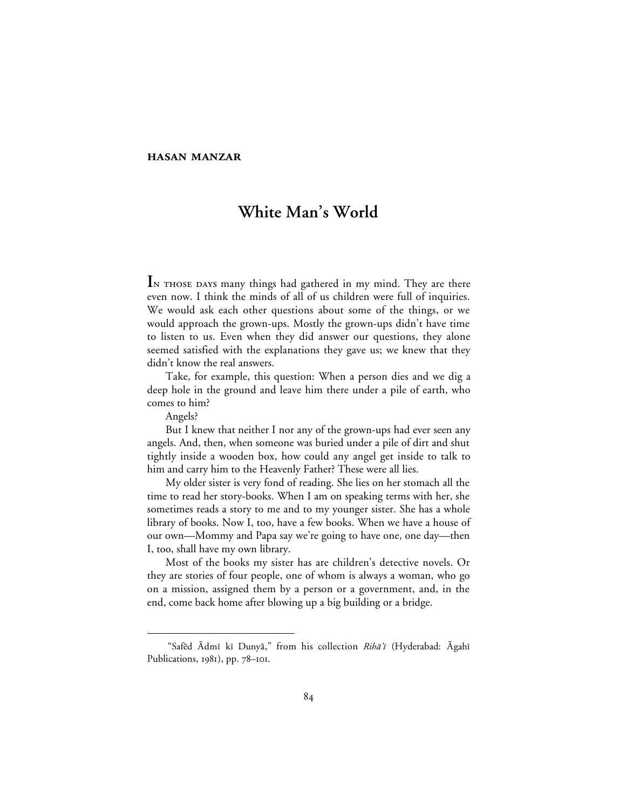## **HASAN MANZAR**

# **White Man's World**

IN THOSE DAYS many things had gathered in my mind. They are there even now. I think the minds of all of us children were full of inquiries. We would ask each other questions about some of the things, or we would approach the grown-ups. Mostly the grown-ups didn't have time to listen to us. Even when they did answer our questions, they alone seemed satisfied with the explanations they gave us; we knew that they didn't know the real answers.

Take, for example, this question: When a person dies and we dig a deep hole in the ground and leave him there under a pile of earth, who comes to him?

Angels?

 $\overline{a}$ 

But I knew that neither I nor any of the grown-ups had ever seen any angels. And, then, when someone was buried under a pile of dirt and shut tightly inside a wooden box, how could any angel get inside to talk to him and carry him to the Heavenly Father? These were all lies.

My older sister is very fond of reading. She lies on her stomach all the time to read her story-books. When I am on speaking terms with her, she sometimes reads a story to me and to my younger sister. She has a whole library of books. Now I, too, have a few books. When we have a house of our own—Mommy and Papa say we're going to have one, one day—then I, too, shall have my own library.

Most of the books my sister has are children's detective novels. Or they are stories of four people, one of whom is always a woman, who go on a mission, assigned them by a person or a government, and, in the end, come back home after blowing up a big building or a bridge.

<sup>&</sup>quot;Safēd Ādmī kī Dunyā," from his collection Rihā'ī (Hyderabad: Āgahī Publications, 1981), pp. 78-101.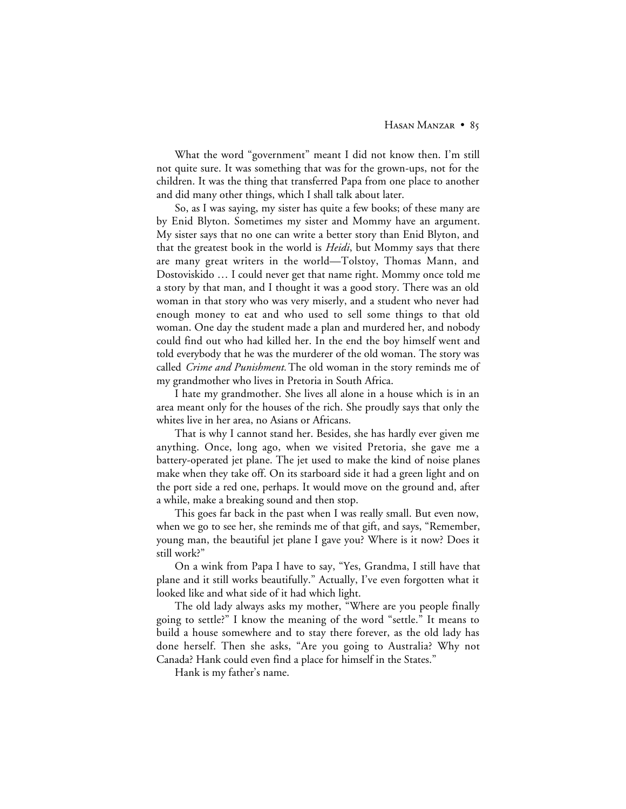What the word "government" meant I did not know then. I'm still not quite sure. It was something that was for the grown-ups, not for the children. It was the thing that transferred Papa from one place to another and did many other things, which I shall talk about later.

So, as I was saying, my sister has quite a few books; of these many are by Enid Blyton. Sometimes my sister and Mommy have an argument. My sister says that no one can write a better story than Enid Blyton, and that the greatest book in the world is *Heidi*, but Mommy says that there are many great writers in the world—Tolstoy, Thomas Mann, and Dostoviskido … I could never get that name right. Mommy once told me a story by that man, and I thought it was a good story. There was an old woman in that story who was very miserly, and a student who never had enough money to eat and who used to sell some things to that old woman. One day the student made a plan and murdered her, and nobody could find out who had killed her. In the end the boy himself went and told everybody that he was the murderer of the old woman. The story was called *Crime and Punishment.* The old woman in the story reminds me of my grandmother who lives in Pretoria in South Africa.

I hate my grandmother. She lives all alone in a house which is in an area meant only for the houses of the rich. She proudly says that only the whites live in her area, no Asians or Africans.

That is why I cannot stand her. Besides, she has hardly ever given me anything. Once, long ago, when we visited Pretoria, she gave me a battery-operated jet plane. The jet used to make the kind of noise planes make when they take off. On its starboard side it had a green light and on the port side a red one, perhaps. It would move on the ground and, after a while, make a breaking sound and then stop.

This goes far back in the past when I was really small. But even now, when we go to see her, she reminds me of that gift, and says, "Remember, young man, the beautiful jet plane I gave you? Where is it now? Does it still work?"

On a wink from Papa I have to say, "Yes, Grandma, I still have that plane and it still works beautifully." Actually, I've even forgotten what it looked like and what side of it had which light.

The old lady always asks my mother, "Where are you people finally going to settle?" I know the meaning of the word "settle." It means to build a house somewhere and to stay there forever, as the old lady has done herself. Then she asks, "Are you going to Australia? Why not Canada? Hank could even find a place for himself in the States."

Hank is my father's name.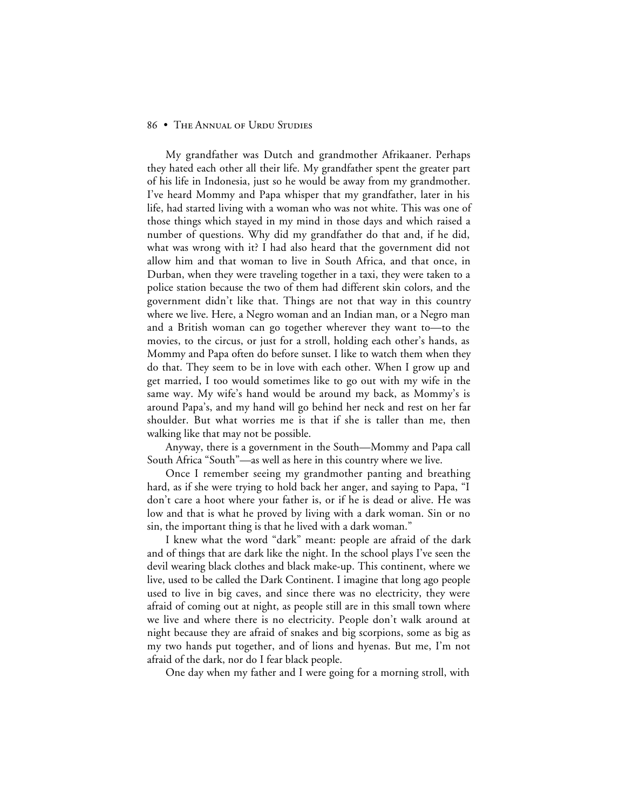My grandfather was Dutch and grandmother Afrikaaner. Perhaps they hated each other all their life. My grandfather spent the greater part of his life in Indonesia, just so he would be away from my grandmother. I've heard Mommy and Papa whisper that my grandfather, later in his life, had started living with a woman who was not white. This was one of those things which stayed in my mind in those days and which raised a number of questions. Why did my grandfather do that and, if he did, what was wrong with it? I had also heard that the government did not allow him and that woman to live in South Africa, and that once, in Durban, when they were traveling together in a taxi, they were taken to a police station because the two of them had different skin colors, and the government didn't like that. Things are not that way in this country where we live. Here, a Negro woman and an Indian man, or a Negro man and a British woman can go together wherever they want to—to the movies, to the circus, or just for a stroll, holding each other's hands, as Mommy and Papa often do before sunset. I like to watch them when they do that. They seem to be in love with each other. When I grow up and get married, I too would sometimes like to go out with my wife in the same way. My wife's hand would be around my back, as Mommy's is around Papa's, and my hand will go behind her neck and rest on her far shoulder. But what worries me is that if she is taller than me, then walking like that may not be possible.

Anyway, there is a government in the South—Mommy and Papa call South Africa "South"—as well as here in this country where we live.

Once I remember seeing my grandmother panting and breathing hard, as if she were trying to hold back her anger, and saying to Papa, "I don't care a hoot where your father is, or if he is dead or alive. He was low and that is what he proved by living with a dark woman. Sin or no sin, the important thing is that he lived with a dark woman."

I knew what the word "dark" meant: people are afraid of the dark and of things that are dark like the night. In the school plays I've seen the devil wearing black clothes and black make-up. This continent, where we live, used to be called the Dark Continent. I imagine that long ago people used to live in big caves, and since there was no electricity, they were afraid of coming out at night, as people still are in this small town where we live and where there is no electricity. People don't walk around at night because they are afraid of snakes and big scorpions, some as big as my two hands put together, and of lions and hyenas. But me, I'm not afraid of the dark, nor do I fear black people.

One day when my father and I were going for a morning stroll, with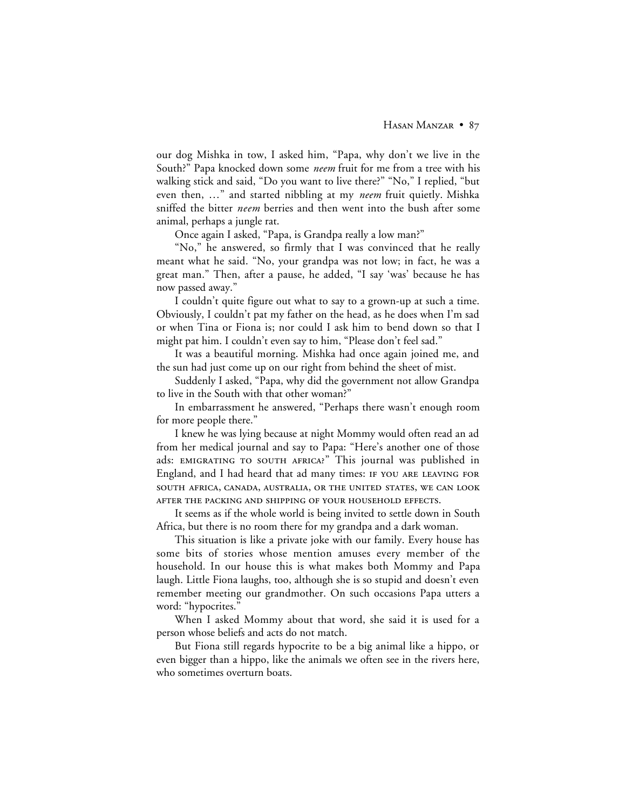our dog Mishka in tow, I asked him, "Papa, why don't we live in the South?" Papa knocked down some *neem* fruit for me from a tree with his walking stick and said, "Do you want to live there?" "No," I replied, "but even then, …" and started nibbling at my *neem* fruit quietly. Mishka sniffed the bitter *neem* berries and then went into the bush after some animal, perhaps a jungle rat.

Once again I asked, "Papa, is Grandpa really a low man?"

"No," he answered, so firmly that I was convinced that he really meant what he said. "No, your grandpa was not low; in fact, he was a great man." Then, after a pause, he added, "I say 'was' because he has now passed away."

I couldn't quite figure out what to say to a grown-up at such a time. Obviously, I couldn't pat my father on the head, as he does when I'm sad or when Tina or Fiona is; nor could I ask him to bend down so that I might pat him. I couldn't even say to him, "Please don't feel sad."

It was a beautiful morning. Mishka had once again joined me, and the sun had just come up on our right from behind the sheet of mist.

Suddenly I asked, "Papa, why did the government not allow Grandpa to live in the South with that other woman?"

In embarrassment he answered, "Perhaps there wasn't enough room for more people there."

I knew he was lying because at night Mommy would often read an ad from her medical journal and say to Papa: "Here's another one of those ads: EMIGRATING TO SOUTH AFRICA?" This journal was published in England, and I had heard that ad many times: IF YOU ARE LEAVING FOR SOUTH AFRICA, CANADA, AUSTRALIA, OR THE UNITED STATES, WE CAN LOOK AFTER THE PACKING AND SHIPPING OF YOUR HOUSEHOLD EFFECTS.

It seems as if the whole world is being invited to settle down in South Africa, but there is no room there for my grandpa and a dark woman.

This situation is like a private joke with our family. Every house has some bits of stories whose mention amuses every member of the household. In our house this is what makes both Mommy and Papa laugh. Little Fiona laughs, too, although she is so stupid and doesn't even remember meeting our grandmother. On such occasions Papa utters a word: "hypocrites."

When I asked Mommy about that word, she said it is used for a person whose beliefs and acts do not match.

But Fiona still regards hypocrite to be a big animal like a hippo, or even bigger than a hippo, like the animals we often see in the rivers here, who sometimes overturn boats.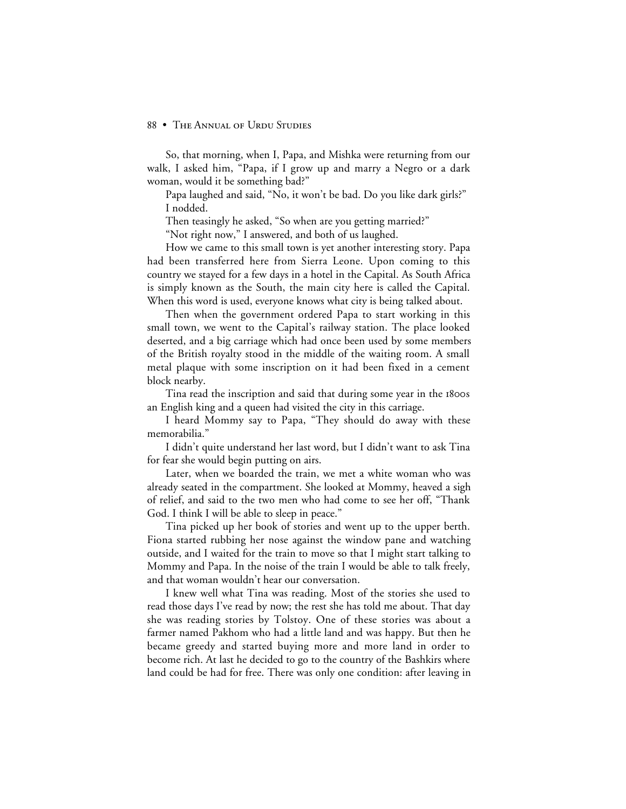So, that morning, when I, Papa, and Mishka were returning from our walk, I asked him, "Papa, if I grow up and marry a Negro or a dark woman, would it be something bad?"

Papa laughed and said, "No, it won't be bad. Do you like dark girls?" I nodded.

Then teasingly he asked, "So when are you getting married?"

"Not right now," I answered, and both of us laughed.

How we came to this small town is yet another interesting story. Papa had been transferred here from Sierra Leone. Upon coming to this country we stayed for a few days in a hotel in the Capital. As South Africa is simply known as the South, the main city here is called the Capital. When this word is used, everyone knows what city is being talked about.

Then when the government ordered Papa to start working in this small town, we went to the Capital's railway station. The place looked deserted, and a big carriage which had once been used by some members of the British royalty stood in the middle of the waiting room. A small metal plaque with some inscription on it had been fixed in a cement block nearby.

Tina read the inscription and said that during some year in the 1800s an English king and a queen had visited the city in this carriage.

I heard Mommy say to Papa, "They should do away with these memorabilia."

I didn't quite understand her last word, but I didn't want to ask Tina for fear she would begin putting on airs.

Later, when we boarded the train, we met a white woman who was already seated in the compartment. She looked at Mommy, heaved a sigh of relief, and said to the two men who had come to see her off, "Thank God. I think I will be able to sleep in peace."

Tina picked up her book of stories and went up to the upper berth. Fiona started rubbing her nose against the window pane and watching outside, and I waited for the train to move so that I might start talking to Mommy and Papa. In the noise of the train I would be able to talk freely, and that woman wouldn't hear our conversation.

I knew well what Tina was reading. Most of the stories she used to read those days I've read by now; the rest she has told me about. That day she was reading stories by Tolstoy. One of these stories was about a farmer named Pakhom who had a little land and was happy. But then he became greedy and started buying more and more land in order to become rich. At last he decided to go to the country of the Bashkirs where land could be had for free. There was only one condition: after leaving in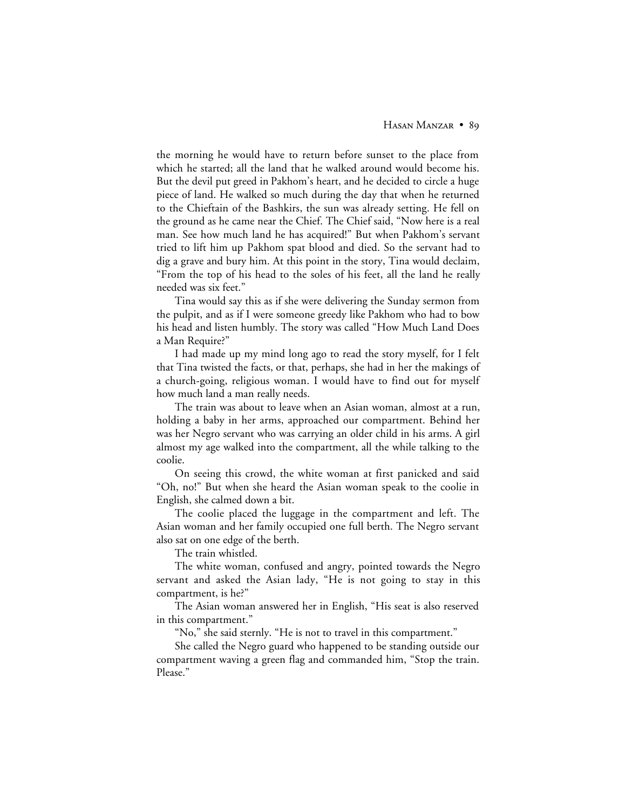the morning he would have to return before sunset to the place from which he started; all the land that he walked around would become his. But the devil put greed in Pakhom's heart, and he decided to circle a huge piece of land. He walked so much during the day that when he returned to the Chieftain of the Bashkirs, the sun was already setting. He fell on the ground as he came near the Chief. The Chief said, "Now here is a real man. See how much land he has acquired!" But when Pakhom's servant tried to lift him up Pakhom spat blood and died. So the servant had to dig a grave and bury him. At this point in the story, Tina would declaim, "From the top of his head to the soles of his feet, all the land he really needed was six feet."

Tina would say this as if she were delivering the Sunday sermon from the pulpit, and as if I were someone greedy like Pakhom who had to bow his head and listen humbly. The story was called "How Much Land Does a Man Require?"

I had made up my mind long ago to read the story myself, for I felt that Tina twisted the facts, or that, perhaps, she had in her the makings of a church-going, religious woman. I would have to find out for myself how much land a man really needs.

The train was about to leave when an Asian woman, almost at a run, holding a baby in her arms, approached our compartment. Behind her was her Negro servant who was carrying an older child in his arms. A girl almost my age walked into the compartment, all the while talking to the coolie.

On seeing this crowd, the white woman at first panicked and said "Oh, no!" But when she heard the Asian woman speak to the coolie in English, she calmed down a bit.

The coolie placed the luggage in the compartment and left. The Asian woman and her family occupied one full berth. The Negro servant also sat on one edge of the berth.

The train whistled.

The white woman, confused and angry, pointed towards the Negro servant and asked the Asian lady, "He is not going to stay in this compartment, is he?"

The Asian woman answered her in English, "His seat is also reserved in this compartment."

"No," she said sternly. "He is not to travel in this compartment."

She called the Negro guard who happened to be standing outside our compartment waving a green flag and commanded him, "Stop the train. Please."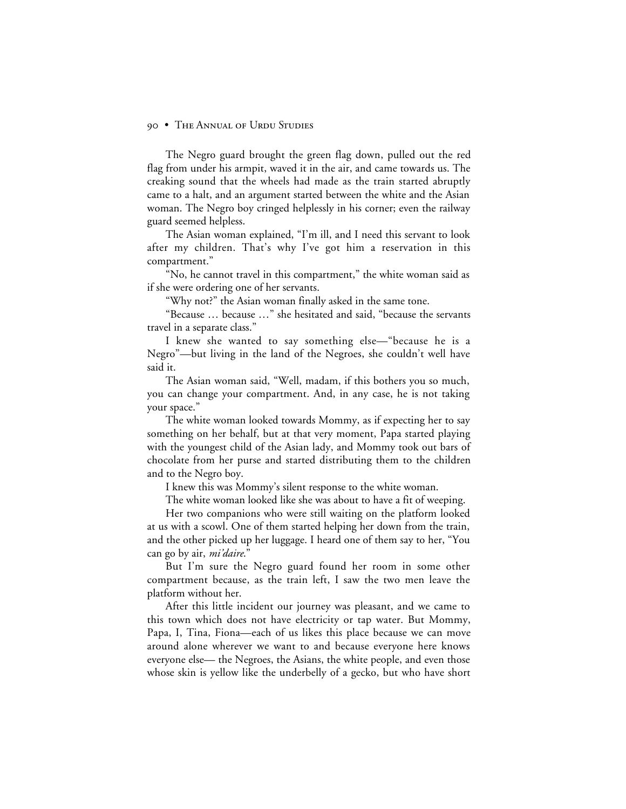The Negro guard brought the green flag down, pulled out the red flag from under his armpit, waved it in the air, and came towards us. The creaking sound that the wheels had made as the train started abruptly came to a halt, and an argument started between the white and the Asian woman. The Negro boy cringed helplessly in his corner; even the railway guard seemed helpless.

The Asian woman explained, "I'm ill, and I need this servant to look after my children. That's why I've got him a reservation in this compartment."

"No, he cannot travel in this compartment," the white woman said as if she were ordering one of her servants.

"Why not?" the Asian woman finally asked in the same tone.

"Because … because …" she hesitated and said, "because the servants travel in a separate class."

I knew she wanted to say something else—"because he is a Negro"—but living in the land of the Negroes, she couldn't well have said it.

The Asian woman said, "Well, madam, if this bothers you so much, you can change your compartment. And, in any case, he is not taking your space."

The white woman looked towards Mommy, as if expecting her to say something on her behalf, but at that very moment, Papa started playing with the youngest child of the Asian lady, and Mommy took out bars of chocolate from her purse and started distributing them to the children and to the Negro boy.

I knew this was Mommy's silent response to the white woman.

The white woman looked like she was about to have a fit of weeping.

Her two companions who were still waiting on the platform looked at us with a scowl. One of them started helping her down from the train, and the other picked up her luggage. I heard one of them say to her, "You can go by air, *mi'daire*."

But I'm sure the Negro guard found her room in some other compartment because, as the train left, I saw the two men leave the platform without her.

After this little incident our journey was pleasant, and we came to this town which does not have electricity or tap water. But Mommy, Papa, I, Tina, Fiona—each of us likes this place because we can move around alone wherever we want to and because everyone here knows everyone else— the Negroes, the Asians, the white people, and even those whose skin is yellow like the underbelly of a gecko, but who have short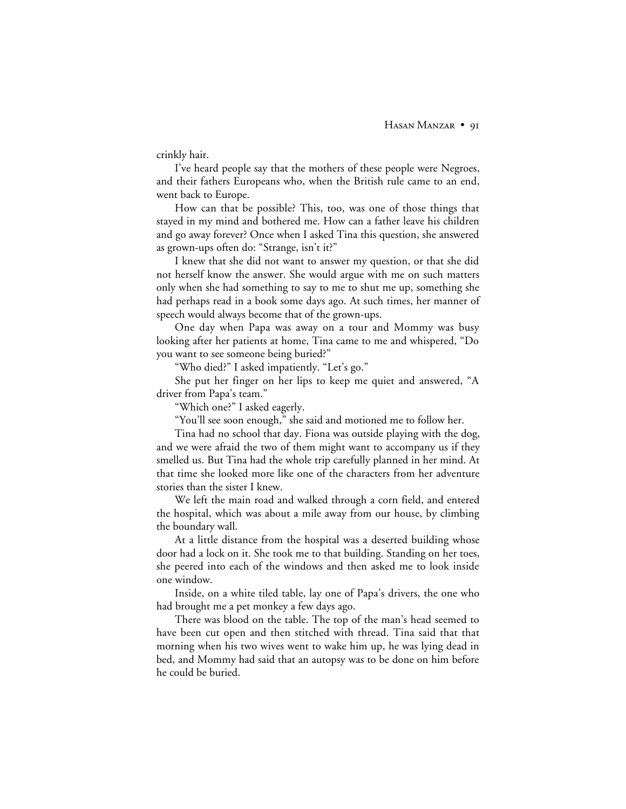crinkly hair.

I've heard people say that the mothers of these people were Negroes, and their fathers Europeans who, when the British rule came to an end, went back to Europe.

How can that be possible? This, too, was one of those things that stayed in my mind and bothered me. How can a father leave his children and go away forever? Once when I asked Tina this question, she answered as grown-ups often do: "Strange, isn't it?"

I knew that she did not want to answer my question, or that she did not herself know the answer. She would argue with me on such matters only when she had something to say to me to shut me up, something she had perhaps read in a book some days ago. At such times, her manner of speech would always become that of the grown-ups.

One day when Papa was away on a tour and Mommy was busy looking after her patients at home, Tina came to me and whispered, "Do you want to see someone being buried?"

"Who died?" I asked impatiently. "Let's go."

She put her finger on her lips to keep me quiet and answered, "A driver from Papa's team."

"Which one?" I asked eagerly.

"You'll see soon enough," she said and motioned me to follow her.

Tina had no school that day. Fiona was outside playing with the dog, and we were afraid the two of them might want to accompany us if they smelled us. But Tina had the whole trip carefully planned in her mind. At that time she looked more like one of the characters from her adventure stories than the sister I knew.

We left the main road and walked through a corn field, and entered the hospital, which was about a mile away from our house, by climbing the boundary wall.

At a little distance from the hospital was a deserted building whose door had a lock on it. She took me to that building. Standing on her toes, she peered into each of the windows and then asked me to look inside one window.

Inside, on a white tiled table, lay one of Papa's drivers, the one who had brought me a pet monkey a few days ago.

There was blood on the table. The top of the man's head seemed to have been cut open and then stitched with thread. Tina said that that morning when his two wives went to wake him up, he was lying dead in bed, and Mommy had said that an autopsy was to be done on him before he could be buried.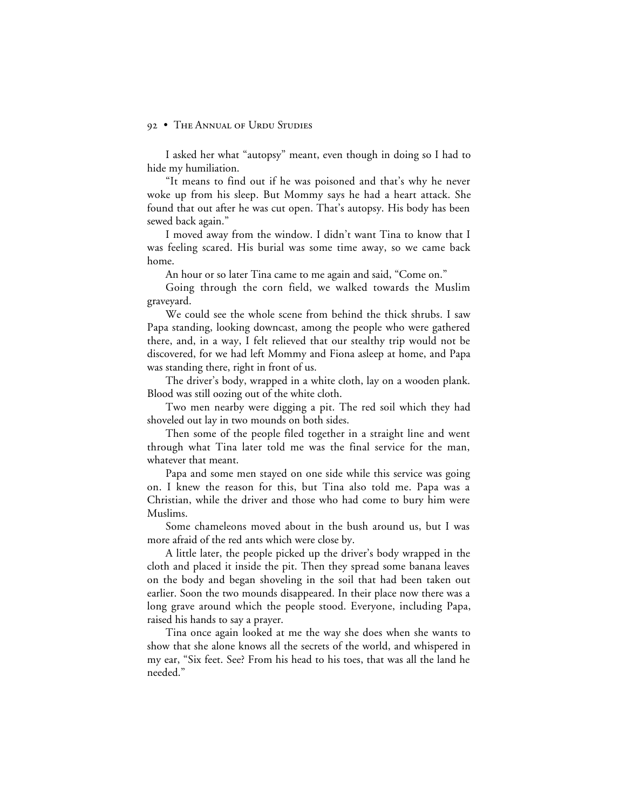I asked her what "autopsy" meant, even though in doing so I had to hide my humiliation.

"It means to find out if he was poisoned and that's why he never woke up from his sleep. But Mommy says he had a heart attack. She found that out after he was cut open. That's autopsy. His body has been sewed back again."

I moved away from the window. I didn't want Tina to know that I was feeling scared. His burial was some time away, so we came back home.

An hour or so later Tina came to me again and said, "Come on."

Going through the corn field, we walked towards the Muslim graveyard.

We could see the whole scene from behind the thick shrubs. I saw Papa standing, looking downcast, among the people who were gathered there, and, in a way, I felt relieved that our stealthy trip would not be discovered, for we had left Mommy and Fiona asleep at home, and Papa was standing there, right in front of us.

The driver's body, wrapped in a white cloth, lay on a wooden plank. Blood was still oozing out of the white cloth.

Two men nearby were digging a pit. The red soil which they had shoveled out lay in two mounds on both sides.

Then some of the people filed together in a straight line and went through what Tina later told me was the final service for the man, whatever that meant.

Papa and some men stayed on one side while this service was going on. I knew the reason for this, but Tina also told me. Papa was a Christian, while the driver and those who had come to bury him were Muslims.

Some chameleons moved about in the bush around us, but I was more afraid of the red ants which were close by.

A little later, the people picked up the driver's body wrapped in the cloth and placed it inside the pit. Then they spread some banana leaves on the body and began shoveling in the soil that had been taken out earlier. Soon the two mounds disappeared. In their place now there was a long grave around which the people stood. Everyone, including Papa, raised his hands to say a prayer.

Tina once again looked at me the way she does when she wants to show that she alone knows all the secrets of the world, and whispered in my ear, "Six feet. See? From his head to his toes, that was all the land he needed."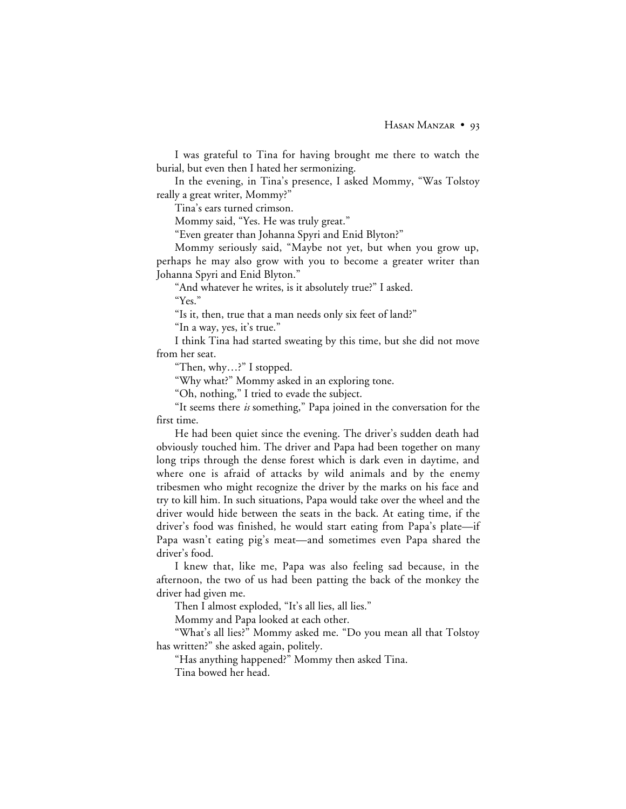I was grateful to Tina for having brought me there to watch the burial, but even then I hated her sermonizing.

In the evening, in Tina's presence, I asked Mommy, "Was Tolstoy really a great writer, Mommy?"

Tina's ears turned crimson.

Mommy said, "Yes. He was truly great."

"Even greater than Johanna Spyri and Enid Blyton?"

Mommy seriously said, "Maybe not yet, but when you grow up, perhaps he may also grow with you to become a greater writer than Johanna Spyri and Enid Blyton."

"And whatever he writes, is it absolutely true?" I asked. "Yes."

"Is it, then, true that a man needs only six feet of land?"

"In a way, yes, it's true."

I think Tina had started sweating by this time, but she did not move from her seat.

"Then, why…?" I stopped.

"Why what?" Mommy asked in an exploring tone.

"Oh, nothing," I tried to evade the subject.

"It seems there *is* something," Papa joined in the conversation for the first time.

He had been quiet since the evening. The driver's sudden death had obviously touched him. The driver and Papa had been together on many long trips through the dense forest which is dark even in daytime, and where one is afraid of attacks by wild animals and by the enemy tribesmen who might recognize the driver by the marks on his face and try to kill him. In such situations, Papa would take over the wheel and the driver would hide between the seats in the back. At eating time, if the driver's food was finished, he would start eating from Papa's plate—if Papa wasn't eating pig's meat—and sometimes even Papa shared the driver's food.

I knew that, like me, Papa was also feeling sad because, in the afternoon, the two of us had been patting the back of the monkey the driver had given me.

Then I almost exploded, "It's all lies, all lies."

Mommy and Papa looked at each other.

"What's all lies?" Mommy asked me. "Do you mean all that Tolstoy has written?" she asked again, politely.

"Has anything happened?" Mommy then asked Tina.

Tina bowed her head.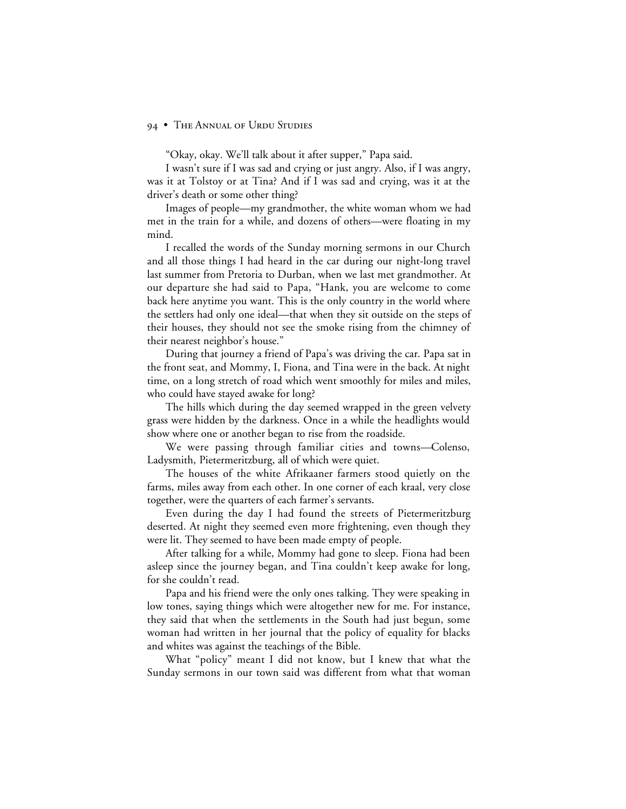"Okay, okay. We'll talk about it after supper," Papa said.

I wasn't sure if I was sad and crying or just angry. Also, if I was angry, was it at Tolstoy or at Tina? And if I was sad and crying, was it at the driver's death or some other thing?

Images of people—my grandmother, the white woman whom we had met in the train for a while, and dozens of others—were floating in my mind.

I recalled the words of the Sunday morning sermons in our Church and all those things I had heard in the car during our night-long travel last summer from Pretoria to Durban, when we last met grandmother. At our departure she had said to Papa, "Hank, you are welcome to come back here anytime you want. This is the only country in the world where the settlers had only one ideal—that when they sit outside on the steps of their houses, they should not see the smoke rising from the chimney of their nearest neighbor's house."

During that journey a friend of Papa's was driving the car. Papa sat in the front seat, and Mommy, I, Fiona, and Tina were in the back. At night time, on a long stretch of road which went smoothly for miles and miles, who could have stayed awake for long?

The hills which during the day seemed wrapped in the green velvety grass were hidden by the darkness. Once in a while the headlights would show where one or another began to rise from the roadside.

We were passing through familiar cities and towns—Colenso, Ladysmith, Pietermeritzburg, all of which were quiet.

The houses of the white Afrikaaner farmers stood quietly on the farms, miles away from each other. In one corner of each kraal, very close together, were the quarters of each farmer's servants.

Even during the day I had found the streets of Pietermeritzburg deserted. At night they seemed even more frightening, even though they were lit. They seemed to have been made empty of people.

After talking for a while, Mommy had gone to sleep. Fiona had been asleep since the journey began, and Tina couldn't keep awake for long, for she couldn't read.

Papa and his friend were the only ones talking. They were speaking in low tones, saying things which were altogether new for me. For instance, they said that when the settlements in the South had just begun, some woman had written in her journal that the policy of equality for blacks and whites was against the teachings of the Bible.

What "policy" meant I did not know, but I knew that what the Sunday sermons in our town said was different from what that woman